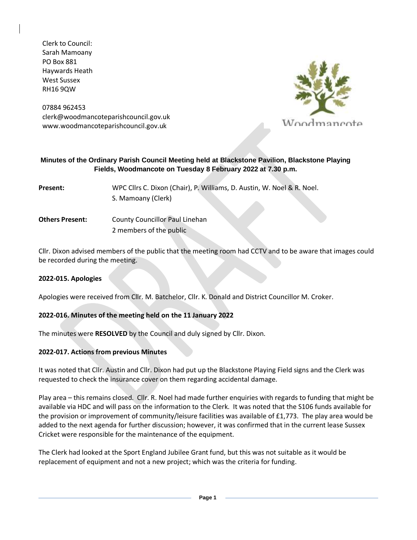Clerk to Council: Sarah Mamoany PO Box 881 Haywards Heath West Sussex RH16 9QW

07884 962453 clerk@woodmancoteparishcouncil.gov.uk www.woodmancoteparishcouncil.gov.uk



#### **Minutes of the Ordinary Parish Council Meeting held at Blackstone Pavilion, Blackstone Playing Fields, Woodmancote on Tuesday 8 February 2022 at 7.30 p.m.**

**Present:** WPC Cllrs C. Dixon (Chair), P. Williams, D. Austin, W. Noel & R. Noel. S. Mamoany (Clerk)

**Others Present:** County Councillor Paul Linehan 2 members of the public

Cllr. Dixon advised members of the public that the meeting room had CCTV and to be aware that images could be recorded during the meeting.

### **2022-015. Apologies**

Apologies were received from Cllr. M. Batchelor, Cllr. K. Donald and District Councillor M. Croker.

### **2022-016. Minutes of the meeting held on the 11 January 2022**

The minutes were **RESOLVED** by the Council and duly signed by Cllr. Dixon.

#### **2022-017. Actions from previous Minutes**

It was noted that Cllr. Austin and Cllr. Dixon had put up the Blackstone Playing Field signs and the Clerk was requested to check the insurance cover on them regarding accidental damage.

Play area – this remains closed. Cllr. R. Noel had made further enquiries with regards to funding that might be available via HDC and will pass on the information to the Clerk. It was noted that the S106 funds available for the provision or improvement of community/leisure facilities was available of £1,773. The play area would be added to the next agenda for further discussion; however, it was confirmed that in the current lease Sussex Cricket were responsible for the maintenance of the equipment.

The Clerk had looked at the Sport England Jubilee Grant fund, but this was not suitable as it would be replacement of equipment and not a new project; which was the criteria for funding.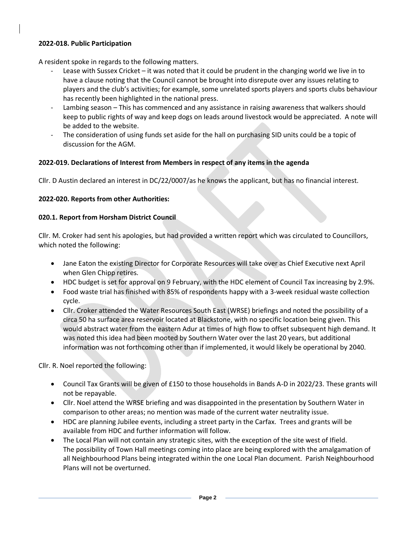## **2022-018. Public Participation**

A resident spoke in regards to the following matters.

- Lease with Sussex Cricket it was noted that it could be prudent in the changing world we live in to have a clause noting that the Council cannot be brought into disrepute over any issues relating to players and the club's activities; for example, some unrelated sports players and sports clubs behaviour has recently been highlighted in the national press.
- Lambing season This has commenced and any assistance in raising awareness that walkers should keep to public rights of way and keep dogs on leads around livestock would be appreciated. A note will be added to the website.
- The consideration of using funds set aside for the hall on purchasing SID units could be a topic of discussion for the AGM.

### **2022-019. Declarations of Interest from Members in respect of any items in the agenda**

Cllr. D Austin declared an interest in DC/22/0007/as he knows the applicant, but has no financial interest.

## **2022-020. Reports from other Authorities:**

### **020.1. Report from Horsham District Council**

Cllr. M. Croker had sent his apologies, but had provided a written report which was circulated to Councillors, which noted the following:

- Jane Eaton the existing Director for Corporate Resources will take over as Chief Executive next April when Glen Chipp retires.
- HDC budget is set for approval on 9 February, with the HDC element of Council Tax increasing by 2.9%.
- Food waste trial has finished with 85% of respondents happy with a 3-week residual waste collection cycle.
- Cllr. Croker attended the Water Resources South East (WRSE) briefings and noted the possibility of a circa 50 ha surface area reservoir located at Blackstone, with no specific location being given. This would abstract water from the eastern Adur at times of high flow to offset subsequent high demand. It was noted this idea had been mooted by Southern Water over the last 20 years, but additional information was not forthcoming other than if implemented, it would likely be operational by 2040.

Cllr. R. Noel reported the following:

- Council Tax Grants will be given of £150 to those households in Bands A-D in 2022/23. These grants will not be repayable.
- Cllr. Noel attend the WRSE briefing and was disappointed in the presentation by Southern Water in comparison to other areas; no mention was made of the current water neutrality issue.
- HDC are planning Jubilee events, including a street party in the Carfax. Trees and grants will be available from HDC and further information will follow.
- The Local Plan will not contain any strategic sites, with the exception of the site west of Ifield. The possibility of Town Hall meetings coming into place are being explored with the amalgamation of all Neighbourhood Plans being integrated within the one Local Plan document. Parish Neighbourhood Plans will not be overturned.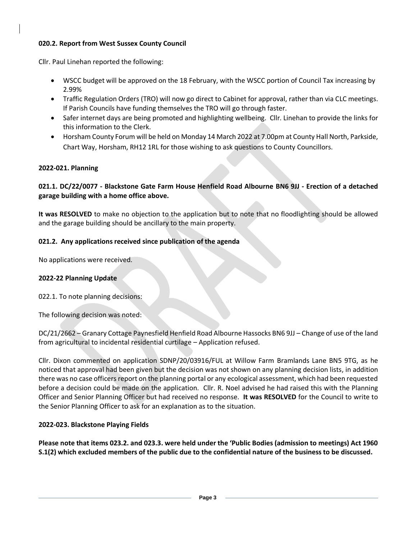## **020.2. Report from West Sussex County Council**

Cllr. Paul Linehan reported the following:

- WSCC budget will be approved on the 18 February, with the WSCC portion of Council Tax increasing by 2.99%
- Traffic Regulation Orders (TRO) will now go direct to Cabinet for approval, rather than via CLC meetings. If Parish Councils have funding themselves the TRO will go through faster.
- Safer internet days are being promoted and highlighting wellbeing. Cllr. Linehan to provide the links for this information to the Clerk.
- Horsham County Forum will be held on Monday 14 March 2022 at 7.00pm at County Hall North, Parkside, Chart Way, Horsham, RH12 1RL for those wishing to ask questions to County Councillors.

## **2022-021. Planning**

# **021.1. DC/22/0077 - Blackstone Gate Farm House Henfield Road Albourne BN6 9JJ - Erection of a detached garage building with a home office above.**

**It was RESOLVED** to make no objection to the application but to note that no floodlighting should be allowed and the garage building should be ancillary to the main property.

## **021.2. Any applications received since publication of the agenda**

No applications were received.

### **2022-22 Planning Update**

022.1. To note planning decisions:

The following decision was noted:

DC/21/2662 – Granary Cottage Paynesfield Henfield Road Albourne Hassocks BN6 9JJ – Change of use of the land from agricultural to incidental residential curtilage – Application refused.

Cllr. Dixon commented on application SDNP/20/03916/FUL at Willow Farm Bramlands Lane BN5 9TG, as he noticed that approval had been given but the decision was not shown on any planning decision lists, in addition there was no case officers report on the planning portal or any ecological assessment, which had been requested before a decision could be made on the application. Cllr. R. Noel advised he had raised this with the Planning Officer and Senior Planning Officer but had received no response. **It was RESOLVED** for the Council to write to the Senior Planning Officer to ask for an explanation as to the situation.

### **2022-023. Blackstone Playing Fields**

**Please note that items 023.2. and 023.3. were held under the 'Public Bodies (admission to meetings) Act 1960 S.1(2) which excluded members of the public due to the confidential nature of the business to be discussed.**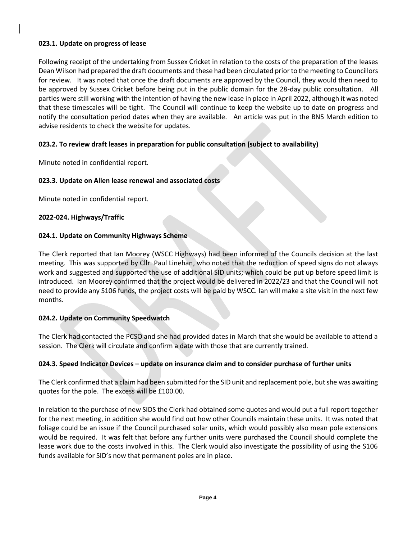## **023.1. Update on progress of lease**

Following receipt of the undertaking from Sussex Cricket in relation to the costs of the preparation of the leases Dean Wilson had prepared the draft documents and these had been circulated prior to the meeting to Councillors for review. It was noted that once the draft documents are approved by the Council, they would then need to be approved by Sussex Cricket before being put in the public domain for the 28-day public consultation. All parties were still working with the intention of having the new lease in place in April 2022, although it was noted that these timescales will be tight. The Council will continue to keep the website up to date on progress and notify the consultation period dates when they are available. An article was put in the BN5 March edition to advise residents to check the website for updates.

# **023.2. To review draft leases in preparation for public consultation (subject to availability)**

Minute noted in confidential report.

## **023.3. Update on Allen lease renewal and associated costs**

Minute noted in confidential report.

## **2022-024. Highways/Traffic**

## **024.1. Update on Community Highways Scheme**

The Clerk reported that Ian Moorey (WSCC Highways) had been informed of the Councils decision at the last meeting. This was supported by Cllr. Paul Linehan, who noted that the reduction of speed signs do not always work and suggested and supported the use of additional SID units; which could be put up before speed limit is introduced. Ian Moorey confirmed that the project would be delivered in 2022/23 and that the Council will not need to provide any S106 funds, the project costs will be paid by WSCC. Ian will make a site visit in the next few months.

### **024.2. Update on Community Speedwatch**

The Clerk had contacted the PCSO and she had provided dates in March that she would be available to attend a session. The Clerk will circulate and confirm a date with those that are currently trained.

### **024.3. Speed Indicator Devices – update on insurance claim and to consider purchase of further units**

The Clerk confirmed that a claim had been submitted for the SID unit and replacement pole, but she was awaiting quotes for the pole. The excess will be £100.00.

In relation to the purchase of new SIDS the Clerk had obtained some quotes and would put a full report together for the next meeting, in addition she would find out how other Councils maintain these units. It was noted that foliage could be an issue if the Council purchased solar units, which would possibly also mean pole extensions would be required. It was felt that before any further units were purchased the Council should complete the lease work due to the costs involved in this. The Clerk would also investigate the possibility of using the S106 funds available for SID's now that permanent poles are in place.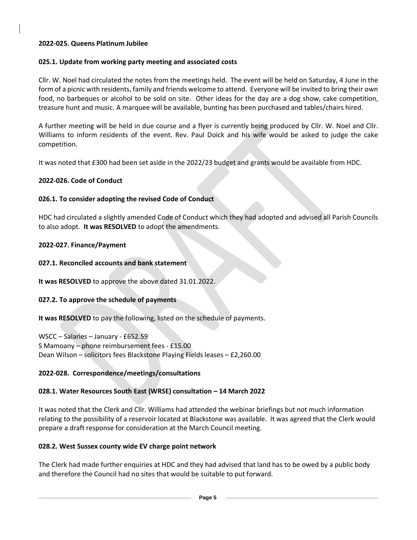### **2022-025. Queens Platinum Jubilee**

## **025.1. Update from working party meeting and associated costs**

Cllr. W. Noel had circulated the notes from the meetings held. The event will be held on Saturday, 4 June in the form of a picnic with residents, family and friends welcome to attend. Everyone will be invited to bring their own food, no barbeques or alcohol to be sold on site. Other ideas for the day are a dog show, cake competition, treasure hunt and music. A marquee will be available, bunting has been purchased and tables/chairs hired.

A further meeting will be held in due course and a flyer is currently being produced by Cllr. W. Noel and Cllr. Williams to inform residents of the event. Rev. Paul Doick and his wife would be asked to judge the cake competition.

It was noted that £300 had been set aside in the 2022/23 budget and grants would be available from HDC.

## **2022-026. Code of Conduct**

## **026.1. To consider adopting the revised Code of Conduct**

HDC had circulated a slightly amended Code of Conduct which they had adopted and advised all Parish Councils to also adopt. **It was RESOLVED** to adopt the amendments.

### **2022-027. Finance/Payment**

### **027.1. Reconciled accounts and bank statement**

**It was RESOLVED** to approve the above dated 31.01.2022.

### **027.2. To approve the schedule of payments**

**It was RESOLVED** to pay the following, listed on the schedule of payments.

WSCC – Salaries – January - £652.59 S Mamoany – phone reimbursement fees - £15.00 Dean Wilson – solicitors fees Blackstone Playing Fields leases – £2,260.00

### **2022-028. Correspondence/meetings/consultations**

# **028.1. Water Resources South East (WRSE) consultation – 14 March 2022**

It was noted that the Clerk and Cllr. Williams had attended the webinar briefings but not much information relating to the possibility of a reservoir located at Blackstone was available. It was agreed that the Clerk would prepare a draft response for consideration at the March Council meeting.

### **028.2. West Sussex county wide EV charge point network**

The Clerk had made further enquiries at HDC and they had advised that land has to be owed by a public body and therefore the Council had no sites that would be suitable to put forward.